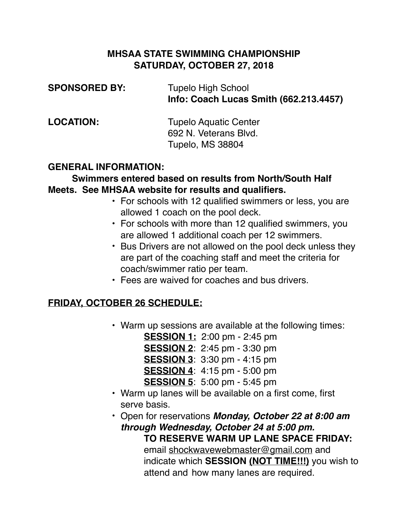### **MHSAA STATE SWIMMING CHAMPIONSHIP SATURDAY, OCTOBER 27, 2018**

| <b>SPONSORED BY:</b> | <b>Tupelo High School</b><br>Info: Coach Lucas Smith (662.213.4457) |
|----------------------|---------------------------------------------------------------------|
| <b>LOCATION:</b>     | <b>Tupelo Aquatic Center</b>                                        |
|                      | 692 N. Veterans Blvd.                                               |
|                      | Tupelo, MS 38804                                                    |

#### **GENERAL INFORMATION:**

#### **Swimmers entered based on results from North/South Half Meets. See MHSAA website for results and qualifiers.**

- For schools with 12 qualified swimmers or less, you are allowed 1 coach on the pool deck.
- For schools with more than 12 qualified swimmers, you are allowed 1 additional coach per 12 swimmers.
- Bus Drivers are not allowed on the pool deck unless they are part of the coaching staff and meet the criteria for coach/swimmer ratio per team.
- Fees are waived for coaches and bus drivers.

### **FRIDAY, OCTOBER 26 SCHEDULE:**

• Warm up sessions are available at the following times:

**SESSION 1:** 2:00 pm - 2:45 pm

**SESSION 2**: 2:45 pm - 3:30 pm

**SESSION 3**: 3:30 pm - 4:15 pm

**SESSION 4**: 4:15 pm - 5:00 pm

**SESSION 5**: 5:00 pm - 5:45 pm

• Warm up lanes will be available on a first come, first serve basis.

• Open for reservations *Monday, October 22 at 8:00 am through Wednesday, October 24 at 5:00 pm.*  **TO RESERVE WARM UP LANE SPACE FRIDAY:** email [shockwavewebmaster@gmail.com](mailto:shockwavewebmaster@gmail.com) and indicate which **SESSION (NOT TIME!!!)** you wish to attend and how many lanes are required.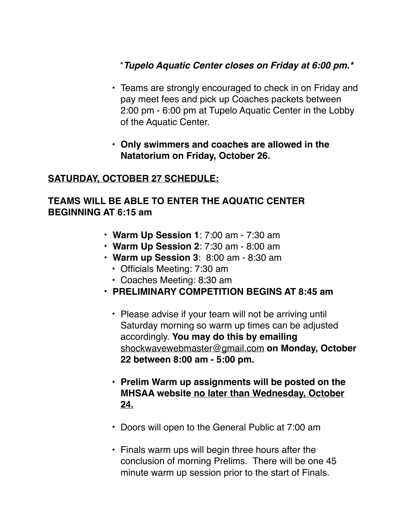## \**Tupelo Aquatic Center closes on Friday at 6:00 pm.\**

- Teams are strongly encouraged to check in on Friday and pay meet fees and pick up Coaches packets between 2:00 pm - 6:00 pm at Tupelo Aquatic Center in the Lobby of the Aquatic Center.
- **Only swimmers and coaches are allowed in the Natatorium on Friday, October 26.**

### **SATURDAY, OCTOBER 27 SCHEDULE:**

### **TEAMS WILL BE ABLE TO ENTER THE AQUATIC CENTER BEGINNING AT 6:15 am**

- **Warm Up Session 1**: 7:00 am 7:30 am
- **Warm Up Session 2**: 7:30 am 8:00 am
- **Warm up Session 3**: 8:00 am 8:30 am
	- Officials Meeting: 7:30 am
	- Coaches Meeting: 8:30 am
- **PRELIMINARY COMPETITION BEGINS AT 8:45 am**
	- Please advise if your team will not be arriving until Saturday morning so warm up times can be adjusted accordingly. **You may do this by emailing**  [shockwavewebmaster@gmail.com](mailto:shockwavewebmaster@gmail.com) **on Monday, October 22 between 8:00 am - 5:00 pm.**
	- **Prelim Warm up assignments will be posted on the MHSAA website no later than Wednesday, October 24.**
	- Doors will open to the General Public at 7:00 am
	- Finals warm ups will begin three hours after the conclusion of morning Prelims. There will be one 45 minute warm up session prior to the start of Finals.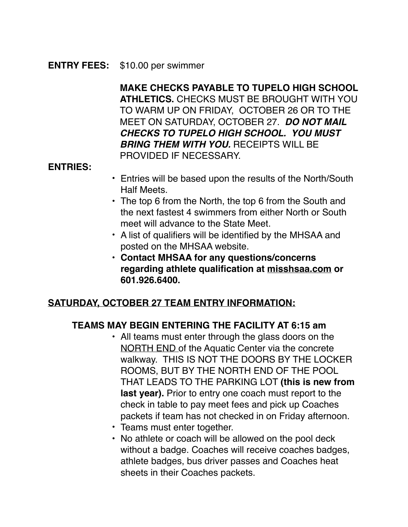#### **ENTRY FEES:** \$10.00 per swimmer

**MAKE CHECKS PAYABLE TO TUPELO HIGH SCHOOL ATHLETICS.** CHECKS MUST BE BROUGHT WITH YOU TO WARM UP ON FRIDAY, OCTOBER 26 OR TO THE MEET ON SATURDAY, OCTOBER 27. *DO NOT MAIL CHECKS TO TUPELO HIGH SCHOOL. YOU MUST BRING THEM WITH YOU.* RECEIPTS WILL BE PROVIDED IF NECESSARY.

### **ENTRIES:**

- Entries will be based upon the results of the North/South Half Meets.
- The top 6 from the North, the top 6 from the South and the next fastest 4 swimmers from either North or South meet will advance to the State Meet.
- A list of qualifiers will be identified by the MHSAA and posted on the MHSAA website.
- **• Contact MHSAA for any questions/concerns regarding athlete qualification at [misshsaa.com](http://misshsaa.com) or 601.926.6400.**

### **SATURDAY, OCTOBER 27 TEAM ENTRY INFORMATION:**

### **TEAMS MAY BEGIN ENTERING THE FACILITY AT 6:15 am**

- All teams must enter through the glass doors on the NORTH END of the Aquatic Center via the concrete walkway. THIS IS NOT THE DOORS BY THE LOCKER ROOMS, BUT BY THE NORTH END OF THE POOL THAT LEADS TO THE PARKING LOT **(this is new from last year).** Prior to entry one coach must report to the check in table to pay meet fees and pick up Coaches packets if team has not checked in on Friday afternoon.
- Teams must enter together.
- No athlete or coach will be allowed on the pool deck without a badge. Coaches will receive coaches badges, athlete badges, bus driver passes and Coaches heat sheets in their Coaches packets.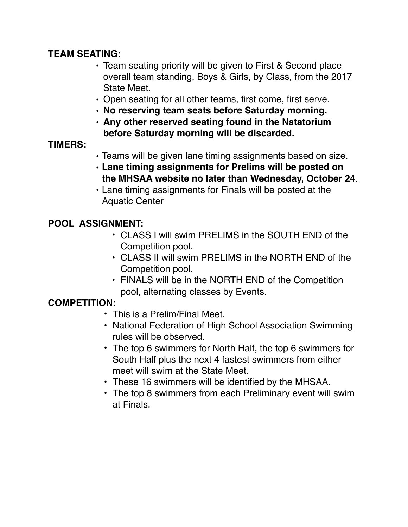### **TEAM SEATING:**

- **•** Team seating priority will be given to First & Second place overall team standing, Boys & Girls, by Class, from the 2017 State Meet.
- **•** Open seating for all other teams, first come, first serve.
- **• No reserving team seats before Saturday morning.**
- **• Any other reserved seating found in the Natatorium before Saturday morning will be discarded.**

### **TIMERS:**

- Teams will be given lane timing assignments based on size.
- **Lane timing assignments for Prelims will be posted on the MHSAA website no later than Wednesday, October 24**.
- Lane timing assignments for Finals will be posted at the Aquatic Center

## **POOL ASSIGNMENT:**

- CLASS I will swim PRELIMS in the SOUTH END of the Competition pool.
- CLASS II will swim PRELIMS in the NORTH END of the Competition pool.
- FINALS will be in the NORTH END of the Competition pool, alternating classes by Events.

## **COMPETITION:**

- This is a Prelim/Final Meet.
- National Federation of High School Association Swimming rules will be observed.
- The top 6 swimmers for North Half, the top 6 swimmers for South Half plus the next 4 fastest swimmers from either meet will swim at the State Meet.
- These 16 swimmers will be identified by the MHSAA.
- The top 8 swimmers from each Preliminary event will swim at Finals.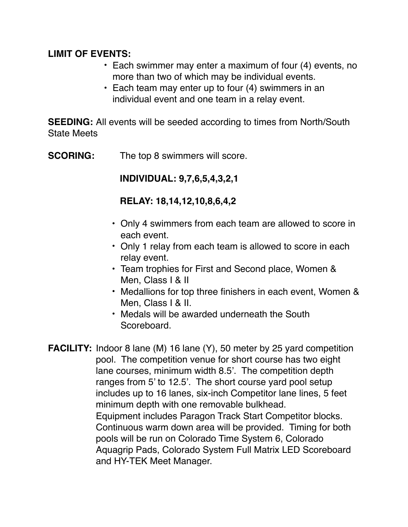### **LIMIT OF EVENTS:**

- Each swimmer may enter a maximum of four (4) events, no more than two of which may be individual events.
- Each team may enter up to four (4) swimmers in an individual event and one team in a relay event.

**SEEDING:** All events will be seeded according to times from North/South State Meets

**SCORING:** The top 8 swimmers will score.

**INDIVIDUAL: 9,7,6,5,4,3,2,1**

### **RELAY: 18,14,12,10,8,6,4,2**

- Only 4 swimmers from each team are allowed to score in each event.
- Only 1 relay from each team is allowed to score in each relay event.
- Team trophies for First and Second place, Women & Men, Class I & II
- Medallions for top three finishers in each event, Women & Men, Class I & II.
- Medals will be awarded underneath the South Scoreboard.
- **FACILITY:** Indoor 8 lane (M) 16 lane (Y), 50 meter by 25 yard competition pool. The competition venue for short course has two eight lane courses, minimum width 8.5'. The competition depth ranges from 5' to 12.5'. The short course yard pool setup includes up to 16 lanes, six-inch Competitor lane lines, 5 feet minimum depth with one removable bulkhead. Equipment includes Paragon Track Start Competitor blocks. Continuous warm down area will be provided. Timing for both pools will be run on Colorado Time System 6, Colorado Aquagrip Pads, Colorado System Full Matrix LED Scoreboard and HY-TEK Meet Manager.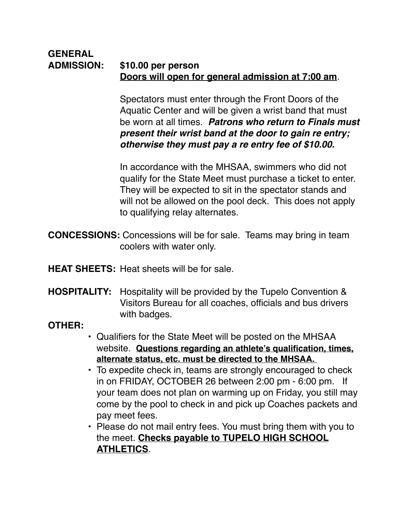#### **GENERAL ADMISSION: \$10.00 per person Doors will open for general admission at 7:00 am**.

Spectators must enter through the Front Doors of the Aquatic Center and will be given a wrist band that must be worn at all times. *Patrons who return to Finals must present their wrist band at the door to gain re entry; otherwise they must pay a re entry fee of \$10.00.* 

In accordance with the MHSAA, swimmers who did not qualify for the State Meet must purchase a ticket to enter. They will be expected to sit in the spectator stands and will not be allowed on the pool deck. This does not apply to qualifying relay alternates.

**CONCESSIONS:** Concessions will be for sale. Teams may bring in team coolers with water only.

**HEAT SHEETS:** Heat sheets will be for sale.

**HOSPITALITY:** Hospitality will be provided by the Tupelo Convention & Visitors Bureau for all coaches, officials and bus drivers with badges.

### **OTHER:**

- Qualifiers for the State Meet will be posted on the MHSAA website. **Questions regarding an athlete's qualification, times, alternate status, etc. must be directed to the MHSAA.**
- To expedite check in, teams are strongly encouraged to check in on FRIDAY, OCTOBER 26 between 2:00 pm - 6:00 pm. If your team does not plan on warming up on Friday, you still may come by the pool to check in and pick up Coaches packets and pay meet fees.
- Please do not mail entry fees. You must bring them with you to the meet. **Checks payable to TUPELO HIGH SCHOOL ATHLETICS**.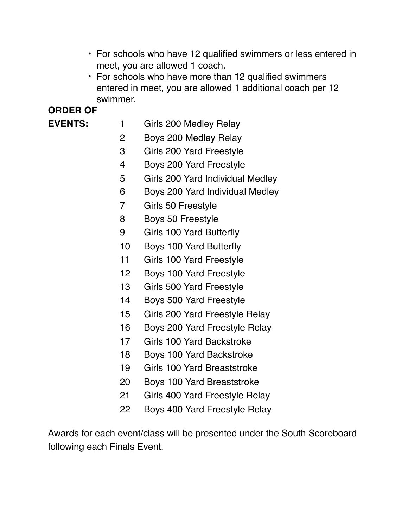- For schools who have 12 qualified swimmers or less entered in meet, you are allowed 1 coach.
- For schools who have more than 12 qualified swimmers entered in meet, you are allowed 1 additional coach per 12 swimmer.

# **ORDER OF**

- **EVENTS:** 1 Girls 200 Medley Relay
	- 2 Boys 200 Medley Relay
	- 3 Girls 200 Yard Freestyle
	- 4 Boys 200 Yard Freestyle
	- 5 Girls 200 Yard Individual Medley
	- 6 Boys 200 Yard Individual Medley
	- 7 Girls 50 Freestyle
	- 8 Boys 50 Freestyle
	- 9 Girls 100 Yard Butterfly
	- 10 Boys 100 Yard Butterfly
	- 11 Girls 100 Yard Freestyle
	- 12 Boys 100 Yard Freestyle
	- 13 Girls 500 Yard Freestyle
	- 14 Boys 500 Yard Freestyle
	- 15 Girls 200 Yard Freestyle Relay
	- 16 Boys 200 Yard Freestyle Relay
	- 17 Girls 100 Yard Backstroke
	- 18 Boys 100 Yard Backstroke
	- 19 Girls 100 Yard Breaststroke
	- 20 Boys 100 Yard Breaststroke
	- 21 Girls 400 Yard Freestyle Relay
	- 22 Boys 400 Yard Freestyle Relay

Awards for each event/class will be presented under the South Scoreboard following each Finals Event.